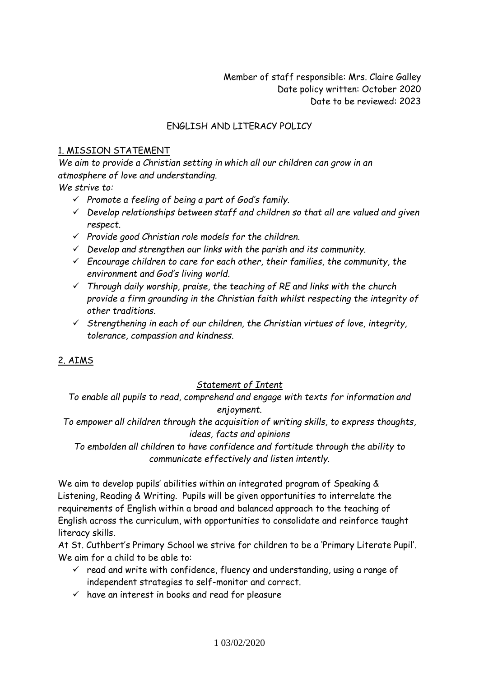Member of staff responsible: Mrs. Claire Galley Date policy written: October 2020 Date to be reviewed: 2023

### ENGLISH AND LITERACY POLICY

#### 1. MISSION STATEMENT

*We aim to provide a Christian setting in which all our children can grow in an atmosphere of love and understanding.*

*We strive to:*

- *Promote a feeling of being a part of God's family.*
- *Develop relationships between staff and children so that all are valued and given respect.*
- *Provide good Christian role models for the children.*
- *Develop and strengthen our links with the parish and its community.*
- *Encourage children to care for each other, their families, the community, the environment and God's living world.*
- *Through daily worship, praise, the teaching of RE and links with the church provide a firm grounding in the Christian faith whilst respecting the integrity of other traditions.*
- *Strengthening in each of our children, the Christian virtues of love, integrity, tolerance, compassion and kindness.*

## 2. AIMS

#### *Statement of Intent*

*To enable all pupils to read, comprehend and engage with texts for information and enjoyment.*

*To empower all children through the acquisition of writing skills, to express thoughts, ideas, facts and opinions*

*To embolden all children to have confidence and fortitude through the ability to communicate effectively and listen intently.*

We aim to develop pupils' abilities within an integrated program of Speaking & Listening, Reading & Writing. Pupils will be given opportunities to interrelate the requirements of English within a broad and balanced approach to the teaching of English across the curriculum, with opportunities to consolidate and reinforce taught literacy skills.

At St. Cuthbert's Primary School we strive for children to be a 'Primary Literate Pupil'. We aim for a child to be able to:

- $\checkmark$  read and write with confidence, fluency and understanding, using a range of independent strategies to self-monitor and correct.
- $\checkmark$  have an interest in books and read for pleasure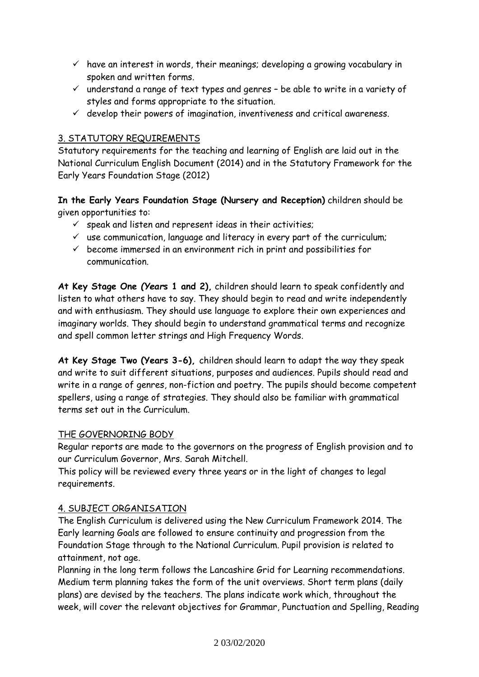- $\checkmark$  have an interest in words, their meanings; developing a growing vocabulary in spoken and written forms.
- $\checkmark$  understand a range of text types and genres be able to write in a variety of styles and forms appropriate to the situation.
- $\checkmark$  develop their powers of imagination, inventiveness and critical awareness.

# 3. STATUTORY REQUIREMENTS

Statutory requirements for the teaching and learning of English are laid out in the National Curriculum English Document (2014) and in the Statutory Framework for the Early Years Foundation Stage (2012)

**In the Early Years Foundation Stage (Nursery and Reception)** children should be given opportunities to:

- $\checkmark$  speak and listen and represent ideas in their activities;
- $\checkmark$  use communication, language and literacy in every part of the curriculum;
- $\checkmark$  become immersed in an environment rich in print and possibilities for communication.

**At Key Stage One** *(Year***s 1 and 2),** children should learn to speak confidently and listen to what others have to say. They should begin to read and write independently and with enthusiasm. They should use language to explore their own experiences and imaginary worlds. They should begin to understand grammatical terms and recognize and spell common letter strings and High Frequency Words.

**At Key Stage Two (Years 3-6),** children should learn to adapt the way they speak and write to suit different situations, purposes and audiences. Pupils should read and write in a range of genres, non-fiction and poetry. The pupils should become competent spellers, using a range of strategies. They should also be familiar with grammatical terms set out in the Curriculum.

## THE GOVERNORING BODY

Regular reports are made to the governors on the progress of English provision and to our Curriculum Governor, Mrs. Sarah Mitchell.

This policy will be reviewed every three years or in the light of changes to legal requirements.

## 4. SUBJECT ORGANISATION

The English Curriculum is delivered using the New Curriculum Framework 2014. The Early learning Goals are followed to ensure continuity and progression from the Foundation Stage through to the National Curriculum. Pupil provision is related to attainment, not age.

Planning in the long term follows the Lancashire Grid for Learning recommendations. Medium term planning takes the form of the unit overviews. Short term plans (daily plans) are devised by the teachers. The plans indicate work which, throughout the week, will cover the relevant objectives for Grammar, Punctuation and Spelling, Reading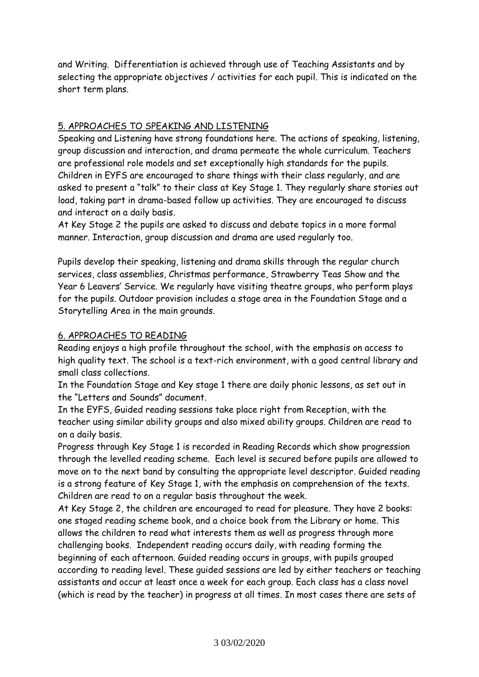and Writing. Differentiation is achieved through use of Teaching Assistants and by selecting the appropriate objectives / activities for each pupil. This is indicated on the short term plans.

### 5. APPROACHES TO SPEAKING AND LISTENING

Speaking and Listening have strong foundations here. The actions of speaking, listening, group discussion and interaction, and drama permeate the whole curriculum. Teachers are professional role models and set exceptionally high standards for the pupils. Children in EYFS are encouraged to share things with their class regularly, and are asked to present a "talk" to their class at Key Stage 1. They regularly share stories out load, taking part in drama-based follow up activities. They are encouraged to discuss and interact on a daily basis.

At Key Stage 2 the pupils are asked to discuss and debate topics in a more formal manner. Interaction, group discussion and drama are used regularly too.

Pupils develop their speaking, listening and drama skills through the regular church services, class assemblies, Christmas performance, Strawberry Teas Show and the Year 6 Leavers' Service. We regularly have visiting theatre groups, who perform plays for the pupils. Outdoor provision includes a stage area in the Foundation Stage and a Storytelling Area in the main grounds.

#### 6. APPROACHES TO READING

Reading enjoys a high profile throughout the school, with the emphasis on access to high quality text. The school is a text-rich environment, with a good central library and small class collections.

In the Foundation Stage and Key stage 1 there are daily phonic lessons, as set out in the "Letters and Sounds" document.

In the EYFS, Guided reading sessions take place right from Reception, with the teacher using similar ability groups and also mixed ability groups. Children are read to on a daily basis.

Progress through Key Stage 1 is recorded in Reading Records which show progression through the levelled reading scheme. Each level is secured before pupils are allowed to move on to the next band by consulting the appropriate level descriptor. Guided reading is a strong feature of Key Stage 1, with the emphasis on comprehension of the texts. Children are read to on a regular basis throughout the week.

At Key Stage 2, the children are encouraged to read for pleasure. They have 2 books: one staged reading scheme book, and a choice book from the Library or home. This allows the children to read what interests them as well as progress through more challenging books. Independent reading occurs daily, with reading forming the beginning of each afternoon. Guided reading occurs in groups, with pupils grouped according to reading level. These guided sessions are led by either teachers or teaching assistants and occur at least once a week for each group. Each class has a class novel (which is read by the teacher) in progress at all times. In most cases there are sets of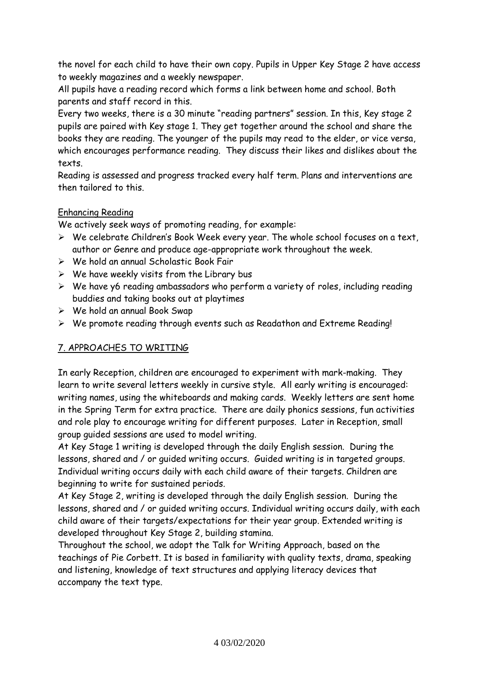the novel for each child to have their own copy. Pupils in Upper Key Stage 2 have access to weekly magazines and a weekly newspaper.

All pupils have a reading record which forms a link between home and school. Both parents and staff record in this.

Every two weeks, there is a 30 minute "reading partners" session. In this, Key stage 2 pupils are paired with Key stage 1. They get together around the school and share the books they are reading. The younger of the pupils may read to the elder, or vice versa, which encourages performance reading. They discuss their likes and dislikes about the texts.

Reading is assessed and progress tracked every half term. Plans and interventions are then tailored to this.

# Enhancing Reading

We actively seek ways of promoting reading, for example:

- $\triangleright$  We celebrate Children's Book Week every year. The whole school focuses on a text, author or Genre and produce age-appropriate work throughout the week.
- We hold an annual Scholastic Book Fair
- $\triangleright$  We have weekly visits from the Library bus
- $\triangleright$  We have y6 reading ambassadors who perform a variety of roles, including reading buddies and taking books out at playtimes
- We hold an annual Book Swap
- We promote reading through events such as Readathon and Extreme Reading!

## 7. APPROACHES TO WRITING

In early Reception, children are encouraged to experiment with mark-making. They learn to write several letters weekly in cursive style. All early writing is encouraged: writing names, using the whiteboards and making cards. Weekly letters are sent home in the Spring Term for extra practice. There are daily phonics sessions, fun activities and role play to encourage writing for different purposes. Later in Reception, small group guided sessions are used to model writing.

At Key Stage 1 writing is developed through the daily English session. During the lessons, shared and / or guided writing occurs. Guided writing is in targeted groups. Individual writing occurs daily with each child aware of their targets. Children are beginning to write for sustained periods.

At Key Stage 2, writing is developed through the daily English session. During the lessons, shared and / or guided writing occurs. Individual writing occurs daily, with each child aware of their targets/expectations for their year group. Extended writing is developed throughout Key Stage 2, building stamina.

Throughout the school, we adopt the Talk for Writing Approach, based on the teachings of Pie Corbett. It is based in familiarity with quality texts, drama, speaking and listening, knowledge of text structures and applying literacy devices that accompany the text type.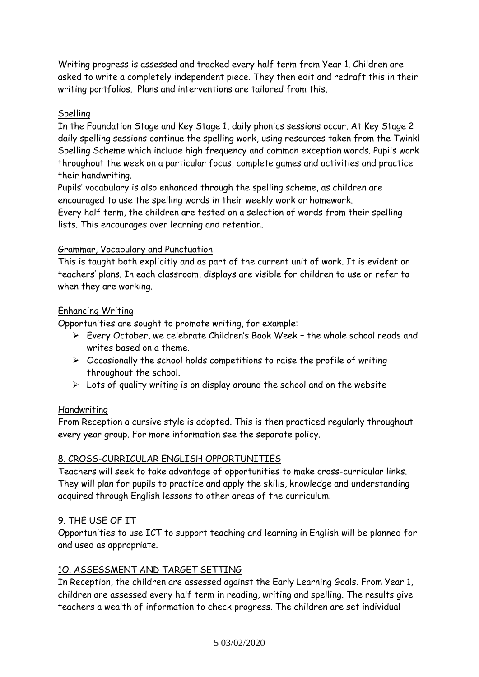Writing progress is assessed and tracked every half term from Year 1. Children are asked to write a completely independent piece. They then edit and redraft this in their writing portfolios. Plans and interventions are tailored from this.

### Spelling

In the Foundation Stage and Key Stage 1, daily phonics sessions occur. At Key Stage 2 daily spelling sessions continue the spelling work, using resources taken from the Twinkl Spelling Scheme which include high frequency and common exception words. Pupils work throughout the week on a particular focus, complete games and activities and practice their handwriting.

Pupils' vocabulary is also enhanced through the spelling scheme, as children are encouraged to use the spelling words in their weekly work or homework. Every half term, the children are tested on a selection of words from their spelling lists. This encourages over learning and retention.

#### Grammar, Vocabulary and Punctuation

This is taught both explicitly and as part of the current unit of work. It is evident on teachers' plans. In each classroom, displays are visible for children to use or refer to when they are working.

### Enhancing Writing

Opportunities are sought to promote writing, for example:

- Every October, we celebrate Children's Book Week the whole school reads and writes based on a theme.
- $\triangleright$  Occasionally the school holds competitions to raise the profile of writing throughout the school.
- $\triangleright$  Lots of quality writing is on display around the school and on the website

#### Handwriting

From Reception a cursive style is adopted. This is then practiced regularly throughout every year group. For more information see the separate policy.

## 8. CROSS-CURRICULAR ENGLISH OPPORTUNITIES

Teachers will seek to take advantage of opportunities to make cross-curricular links. They will plan for pupils to practice and apply the skills, knowledge and understanding acquired through English lessons to other areas of the curriculum.

#### 9. THE USE OF IT

Opportunities to use ICT to support teaching and learning in English will be planned for and used as appropriate.

## 1O. ASSESSMENT AND TARGET SETTING

In Reception, the children are assessed against the Early Learning Goals. From Year 1, children are assessed every half term in reading, writing and spelling. The results give teachers a wealth of information to check progress. The children are set individual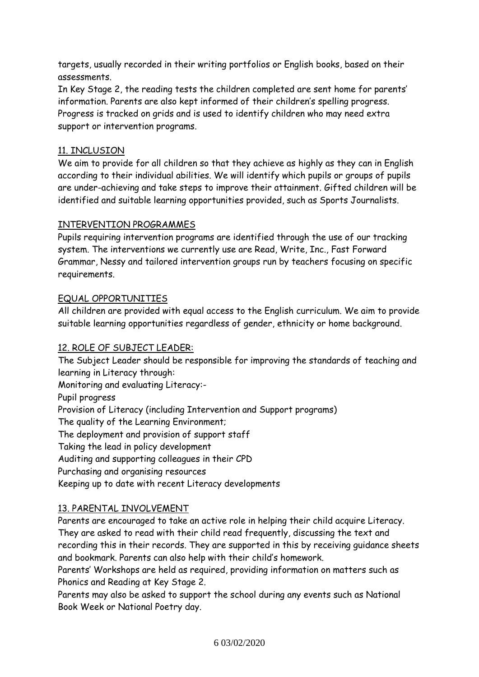targets, usually recorded in their writing portfolios or English books, based on their assessments.

In Key Stage 2, the reading tests the children completed are sent home for parents' information. Parents are also kept informed of their children's spelling progress. Progress is tracked on grids and is used to identify children who may need extra support or intervention programs.

### 11. INCLUSION

We aim to provide for all children so that they achieve as highly as they can in English according to their individual abilities. We will identify which pupils or groups of pupils are under-achieving and take steps to improve their attainment. Gifted children will be identified and suitable learning opportunities provided, such as Sports Journalists.

### INTERVENTION PROGRAMMES

Pupils requiring intervention programs are identified through the use of our tracking system. The interventions we currently use are Read, Write, Inc., Fast Forward Grammar, Nessy and tailored intervention groups run by teachers focusing on specific requirements.

### EQUAL OPPORTUNITIES

All children are provided with equal access to the English curriculum. We aim to provide suitable learning opportunities regardless of gender, ethnicity or home background.

## 12. ROLE OF SUBJECT LEADER:

The Subject Leader should be responsible for improving the standards of teaching and learning in Literacy through:

Monitoring and evaluating Literacy:-

Pupil progress Provision of Literacy (including Intervention and Support programs) The quality of the Learning Environment; The deployment and provision of support staff Taking the lead in policy development Auditing and supporting colleagues in their CPD Purchasing and organising resources Keeping up to date with recent Literacy developments

## 13. PARENTAL INVOLVEMENT

Parents are encouraged to take an active role in helping their child acquire Literacy. They are asked to read with their child read frequently, discussing the text and recording this in their records. They are supported in this by receiving guidance sheets and bookmark. Parents can also help with their child's homework.

Parents' Workshops are held as required, providing information on matters such as Phonics and Reading at Key Stage 2.

Parents may also be asked to support the school during any events such as National Book Week or National Poetry day.